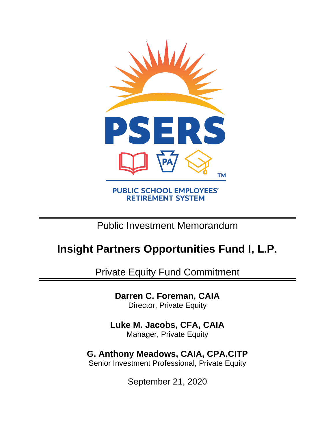

# Public Investment Memorandum

# **Insight Partners Opportunities Fund I, L.P.**

Private Equity Fund Commitment

**Darren C. Foreman, CAIA** Director, Private Equity

**Luke M. Jacobs, CFA, CAIA** Manager, Private Equity

**G. Anthony Meadows, CAIA, CPA.CITP** Senior Investment Professional, Private Equity

September 21, 2020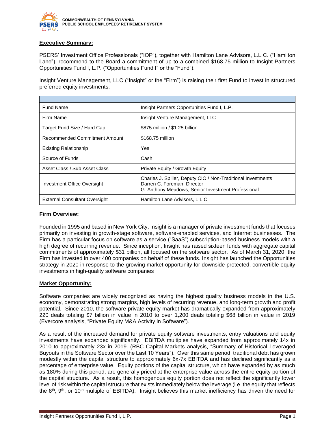

### **Executive Summary:**

PSERS' Investment Office Professionals ("IOP"), together with Hamilton Lane Advisors, L.L.C. ("Hamilton Lane"), recommend to the Board a commitment of up to a combined \$168.75 million to Insight Partners Opportunities Fund I, L.P. ("Opportunities Fund I" or the "Fund").

Insight Venture Management, LLC ("Insight" or the "Firm") is raising their first Fund to invest in structured preferred equity investments.

| <b>Fund Name</b>                     | Insight Partners Opportunities Fund I, L.P.                                                                                                       |
|--------------------------------------|---------------------------------------------------------------------------------------------------------------------------------------------------|
| Firm Name                            | Insight Venture Management, LLC                                                                                                                   |
| Target Fund Size / Hard Cap          | \$875 million / \$1.25 billion                                                                                                                    |
| Recommended Commitment Amount        | \$168.75 million                                                                                                                                  |
| <b>Existing Relationship</b>         | Yes                                                                                                                                               |
| Source of Funds                      | Cash                                                                                                                                              |
| Asset Class / Sub Asset Class        | Private Equity / Growth Equity                                                                                                                    |
| Investment Office Oversight          | Charles J. Spiller, Deputy CIO / Non-Traditional Investments<br>Darren C. Foreman, Director<br>G. Anthony Meadows, Senior Investment Professional |
| <b>External Consultant Oversight</b> | Hamilton Lane Advisors, L.L.C.                                                                                                                    |

#### **Firm Overview:**

Founded in 1995 and based in New York City, Insight is a manager of private investment funds that focuses primarily on investing in growth-stage software, software-enabled services, and Internet businesses. The Firm has a particular focus on software as a service ("SaaS") subscription-based business models with a high degree of recurring revenue. Since inception, Insight has raised sixteen funds with aggregate capital commitments of approximately \$31 billion, all focused on the software sector. As of March 31, 2020, the Firm has invested in over 400 companies on behalf of these funds. Insight has launched the Opportunities strategy in 2020 in response to the growing market opportunity for downside protected, convertible equity investments in high-quality software companies

#### **Market Opportunity:**

Software companies are widely recognized as having the highest quality business models in the U.S. economy, demonstrating strong margins, high levels of recurring revenue, and long-term growth and profit potential. Since 2010, the software private equity market has dramatically expanded from approximately 220 deals totaling \$7 billion in value in 2010 to over 1,200 deals totaling \$68 billion in value in 2019 (Evercore analysis, "Private Equity M&A Activity in Software").

As a result of the increased demand for private equity software investments, entry valuations and equity investments have expanded significantly. EBITDA multiples have expanded from approximately 14x in 2010 to approximately 23x in 2019. (RBC Capital Markets analysis, "Summary of Historical Leveraged Buyouts in the Software Sector over the Last 10 Years"). Over this same period, traditional debt has grown modestly within the capital structure to approximately 6x-7x EBITDA and has declined significantly as a percentage of enterprise value. Equity portions of the capital structure, which have expanded by as much as 180% during this period, are generally priced at the enterprise value across the entire equity portion of the capital structure. As a result, this homogenous equity portion does not reflect the significantly lower level of risk within the capital structure that exists immediately below the leverage (i.e. the equity that reflects the 8<sup>th</sup>, 9<sup>th</sup>, or 10<sup>th</sup> multiple of EBITDA). Insight believes this market inefficiency has driven the need for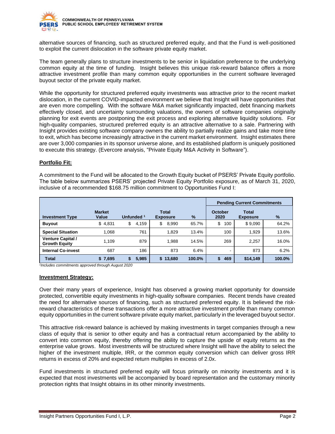

alternative sources of financing, such as structured preferred equity, and that the Fund is well-positioned to exploit the current dislocation in the software private equity market.

The team generally plans to structure investments to be senior in liquidation preference to the underlying common equity at the time of funding. Insight believes this unique risk-reward balance offers a more attractive investment profile than many common equity opportunities in the current software leveraged buyout sector of the private equity market.

While the opportunity for structured preferred equity investments was attractive prior to the recent market dislocation, in the current COVID-impacted environment we believe that Insight will have opportunities that are even more compelling. With the software M&A market significantly impacted, debt financing markets effectively closed, and uncertainty surrounding valuations, the owners of software companies originally planning for exit events are postponing the exit process and exploring alternative liquidity solutions. For high-quality companies, structured preferred equity is an attractive alternative to a sale. Partnering with Insight provides existing software company owners the ability to partially realize gains and take more time to exit, which has become increasingly attractive in the current market environment. Insight estimates there are over 3,000 companies in its sponsor universe alone, and its established platform is uniquely positioned to execute this strategy. (Evercore analysis, "Private Equity M&A Activity in Software").

# **Portfolio Fit:**

A commitment to the Fund will be allocated to the Growth Equity bucket of PSERS' Private Equity portfolio. The table below summarizes PSERS' projected Private Equity Portfolio exposure, as of March 31, 2020, inclusive of a recommended \$168.75 million commitment to Opportunities Fund I:

|                                                  |                        |                       |                                 |        | <b>Pending Current Commitments</b> |                          |        |
|--------------------------------------------------|------------------------|-----------------------|---------------------------------|--------|------------------------------------|--------------------------|--------|
| <b>Investment Type</b>                           | <b>Market</b><br>Value | Unfunded <sup>1</sup> | <b>Total</b><br><b>Exposure</b> | $\%$   | October<br>2020                    | Total<br><b>Exposure</b> | $\%$   |
| <b>Buyout</b>                                    | \$4,831                | 4,159<br>\$           | \$<br>8,990                     | 65.7%  | \$<br>100                          | \$9,090                  | 64.2%  |
| <b>Special Situation</b>                         | 1.068                  | 761                   | 1.829                           | 13.4%  | 100                                | 1.929                    | 13.6%  |
| <b>Venture Capital /</b><br><b>Growth Equity</b> | 1.109                  | 879                   | 1.988                           | 14.5%  | 269                                | 2,257                    | 16.0%  |
| <b>Internal Co-invest</b>                        | 687                    | 186                   | 873                             | 6.4%   | ۰                                  | 873                      | 6.2%   |
| <b>Total</b>                                     | \$7,695                | 5,985<br>S            | \$13,680                        | 100.0% | 469<br>\$                          | \$14,149                 | 100.0% |

*1 Includes commitments approved through August 2020*

#### **Investment Strategy:**

Over their many years of experience, Insight has observed a growing market opportunity for downside protected, convertible equity investments in high-quality software companies. Recent trends have created the need for alternative sources of financing, such as structured preferred equity. It is believed the riskreward characteristics of these transactions offer a more attractive investment profile than many common equity opportunities in the current software private equity market, particularly in the leveraged buyout sector.

This attractive risk-reward balance is achieved by making investments in target companies through a new class of equity that is senior to other equity and has a contractual return accompanied by the ability to convert into common equity, thereby offering the ability to capture the upside of equity returns as the enterprise value grows. Most investments will be structured where Insight will have the ability to select the higher of the investment multiple, IRR, or the common equity conversion which can deliver gross IRR returns in excess of 20% and expected return multiples in excess of 2.0x.

Fund investments in structured preferred equity will focus primarily on minority investments and it is expected that most investments will be accompanied by board representation and the customary minority protection rights that Insight obtains in its other minority investments.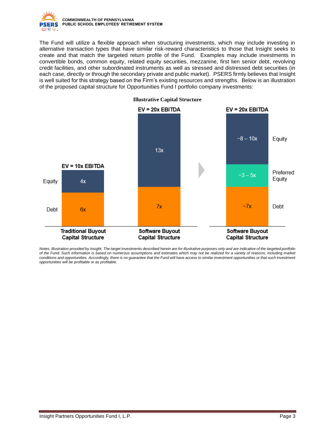

The Fund will utilize a flexible approach when structuring investments, which may include investing in alternative transaction types that have similar risk-reward characteristics to those that Insight seeks to create and that match the targeted return profile of the Fund. Examples may include investments in convertible bonds, common equity, related equity securities, mezzanine, first lien senior debt, revolving credit facilities, and other subordinated instruments as well as stressed and distressed debt securities (in each case, directly or through the secondary private and public market). PSERS firmly believes that Insight is well suited for this strategy based on the Firm's existing resources and strengths. Below is an illustration of the proposed capital structure for Opportunities Fund I portfolio company investments:



*Notes: Illustration provided by Insight. The target investments described herein are for illustrative purposes only and are indicative of the targeted portfolio of the Fund. Such information is based on numerous assumptions and estimates which may not be realized for a variety of reasons, including market*  conditions and opportunities. Accordingly, there is no guarantee that the Fund will have access to similar investment opportunities or that such investment *opportunities will be profitable or as profitable.*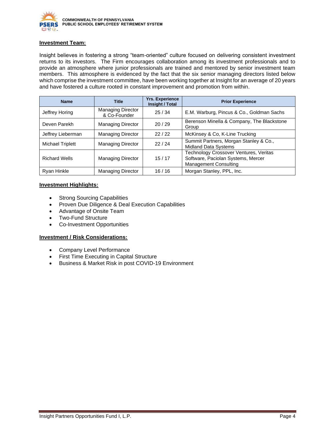

#### **Investment Team:**

Insight believes in fostering a strong "team-oriented" culture focused on delivering consistent investment returns to its investors. The Firm encourages collaboration among its investment professionals and to provide an atmosphere where junior professionals are trained and mentored by senior investment team members. This atmosphere is evidenced by the fact that the six senior managing directors listed below which comprise the investment committee, have been working together at Insight for an average of 20 years and have fostered a culture rooted in constant improvement and promotion from within.

| <b>Name</b>             | <b>Title</b>                             | <b>Yrs. Experience</b><br>Insight / Total | <b>Prior Experience</b>                                                                                      |
|-------------------------|------------------------------------------|-------------------------------------------|--------------------------------------------------------------------------------------------------------------|
| Jeffrey Horing          | <b>Managing Director</b><br>& Co-Founder | 25/34                                     | E.M. Warburg, Pincus & Co., Goldman Sachs                                                                    |
| Deven Parekh            | <b>Managing Director</b>                 | 20/29                                     | Berenson Minella & Company, The Blackstone<br>Group                                                          |
| Jeffrey Lieberman       | <b>Managing Director</b>                 | 22/22                                     | McKinsey & Co, K-Line Trucking                                                                               |
| <b>Michael Triplett</b> | <b>Managing Director</b>                 | 22/24                                     | Summit Partners, Morgan Stanley & Co.,<br><b>Midland Data Systems</b>                                        |
| <b>Richard Wells</b>    | <b>Managing Director</b>                 | 15/17                                     | Technology Crossover Ventures, Veritas<br>Software, Paciolan Systems, Mercer<br><b>Management Consulting</b> |
| <b>Ryan Hinkle</b>      | <b>Managing Director</b>                 | 16/16                                     | Morgan Stanley, PPL, Inc.                                                                                    |

#### **Investment Highlights:**

- Strong Sourcing Capabilities
- Proven Due Diligence & Deal Execution Capabilities
- Advantage of Onsite Team
- Two-Fund Structure
- Co-Investment Opportunities

#### **Investment / Risk Considerations:**

- Company Level Performance
- First Time Executing in Capital Structure
- Business & Market Risk in post COVID-19 Environment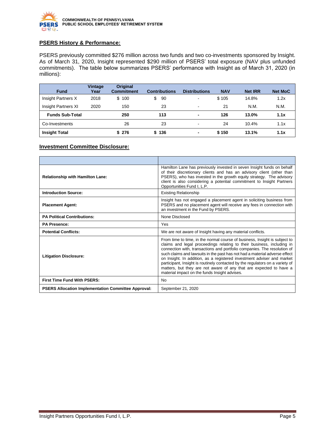

# **PSERS History & Performance:**

PSERS previously committed \$276 million across two funds and two co-investments sponsored by Insight. As of March 31, 2020, Insight represented \$290 million of PSERS' total exposure (NAV plus unfunded commitments). The table below summarizes PSERS' performance with Insight as of March 31, 2020 (in millions):

| <b>Fund</b>            | Vintage<br>Year | <b>Original</b><br><b>Commitment</b> | <b>Contributions</b> | <b>Distributions</b>     | <b>NAV</b> | <b>Net IRR</b> | <b>Net MoC</b> |
|------------------------|-----------------|--------------------------------------|----------------------|--------------------------|------------|----------------|----------------|
| Insight Partners X     | 2018            | \$100                                | \$<br>90             | $\blacksquare$           | \$105      | 14.8%          | 1.2x           |
| Insight Partners XI    | 2020            | 150                                  | 23                   | $\overline{\phantom{a}}$ | 21         | N.M.           | N.M.           |
| <b>Funds Sub-Total</b> |                 | 250                                  | 113                  | ٠                        | 126        | 13.0%          | 1.1x           |
| Co-Investments         |                 | 26                                   | 23                   | $\blacksquare$           | 24         | 10.4%          | 1.1x           |
| <b>Insight Total</b>   |                 | \$276                                | \$136                | ٠                        | \$150      | 13.1%          | 1.1x           |

#### **Investment Committee Disclosure:**

| <b>Relationship with Hamilton Lane:</b>                    | Hamilton Lane has previously invested in seven Insight funds on behalf<br>of their discretionary clients and has an advisory client (other than<br>PSERS), who has invested in the growth equity strategy. The advisory<br>client is also considering a potential commitment to Insight Partners<br>Opportunities Fund I, L.P.                                                                                                                                                                                                                                                                  |
|------------------------------------------------------------|-------------------------------------------------------------------------------------------------------------------------------------------------------------------------------------------------------------------------------------------------------------------------------------------------------------------------------------------------------------------------------------------------------------------------------------------------------------------------------------------------------------------------------------------------------------------------------------------------|
| <b>Introduction Source:</b>                                | <b>Existing Relationship</b>                                                                                                                                                                                                                                                                                                                                                                                                                                                                                                                                                                    |
| <b>Placement Agent:</b>                                    | Insight has not engaged a placement agent in soliciting business from<br>PSERS and no placement agent will receive any fees in connection with<br>an investment in the Fund by PSERS.                                                                                                                                                                                                                                                                                                                                                                                                           |
| <b>PA Political Contributions:</b>                         | None Disclosed                                                                                                                                                                                                                                                                                                                                                                                                                                                                                                                                                                                  |
| <b>PA Presence:</b>                                        | Yes                                                                                                                                                                                                                                                                                                                                                                                                                                                                                                                                                                                             |
| <b>Potential Conflicts:</b>                                | We are not aware of Insight having any material conflicts.                                                                                                                                                                                                                                                                                                                                                                                                                                                                                                                                      |
| <b>Litigation Disclosure:</b>                              | From time to time, in the normal course of business, Insight is subject to<br>claims and legal proceedings relating to their business, including in<br>connection with, transactions and portfolio companies. The resolution of<br>such claims and lawsuits in the past has not had a material adverse effect<br>on Insight. In addition, as a registered investment adviser and market<br>participant, Insight is routinely contacted by the regulators on a variety of<br>matters, but they are not aware of any that are expected to have a<br>material impact on the funds Insight advises. |
| First Time Fund With PSERS:                                | <b>No</b>                                                                                                                                                                                                                                                                                                                                                                                                                                                                                                                                                                                       |
| <b>PSERS Allocation Implementation Committee Approval:</b> | September 21, 2020                                                                                                                                                                                                                                                                                                                                                                                                                                                                                                                                                                              |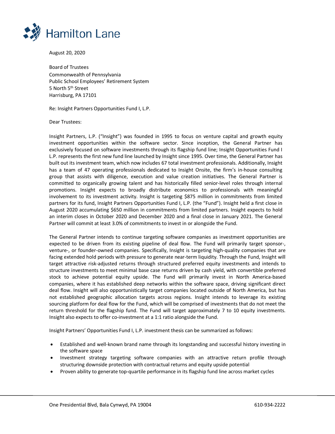

August 20, 2020

Board of Trustees Commonwealth of Pennsylvania Public School Employees' Retirement System 5 North 5<sup>th</sup> Street Harrisburg, PA 17101

Re: Insight Partners Opportunities Fund I, L.P.

Dear Trustees:

Insight Partners, L.P. ("Insight") was founded in 1995 to focus on venture capital and growth equity investment opportunities within the software sector. Since inception, the General Partner has exclusively focused on software investments through its flagship fund line; Insight Opportunities Fund I L.P. represents the first new fund line launched by Insight since 1995. Over time, the General Partner has built out its investment team, which now includes 67 total investment professionals. Additionally, Insight has a team of 47 operating professionals dedicated to Insight Onsite, the firm's in-house consulting group that assists with diligence, execution and value creation initiatives. The General Partner is committed to organically growing talent and has historically filled senior-level roles through internal promotions. Insight expects to broadly distribute economics to professionals with meaningful involvement to its investment activity. Insight is targeting \$875 million in commitments from limited partners for its fund, Insight Partners Opportunities Fund I, L.P. (the "Fund"). Insight held a first close in August 2020 accumulating \$650 million in commitments from limited partners. Insight expects to hold an interim closes in October 2020 and December 2020 and a final close in January 2021. The General Partner will commit at least 3.0% of commitments to invest in or alongside the Fund.

The General Partner intends to continue targeting software companies as investment opportunities are expected to be driven from its existing pipeline of deal flow. The Fund will primarily target sponsor-, venture-, or founder-owned companies. Specifically, Insight is targeting high-quality companies that are facing extended hold periods with pressure to generate near-term liquidity. Through the Fund, Insight will target attractive risk-adjusted returns through structured preferred equity investments and intends to structure investments to meet minimal base case returns driven by cash yield, with convertible preferred stock to achieve potential equity upside. The Fund will primarily invest in North America-based companies, where it has established deep networks within the software space, driving significant direct deal flow. Insight will also opportunistically target companies located outside of North America, but has not established geographic allocation targets across regions. Insight intends to leverage its existing sourcing platform for deal flow for the Fund, which will be comprised of investments that do not meet the return threshold for the flagship fund. The Fund will target approximately 7 to 10 equity investments. Insight also expects to offer co-investment at a 1:1 ratio alongside the Fund.

Insight Partners' Opportunities Fund I, L.P. investment thesis can be summarized as follows:

- Established and well-known brand name through its longstanding and successful history investing in the software space
- Investment strategy targeting software companies with an attractive return profile through structuring downside protection with contractual returns and equity upside potential
- Proven ability to generate top-quartile performance in its flagship fund line across market cycles